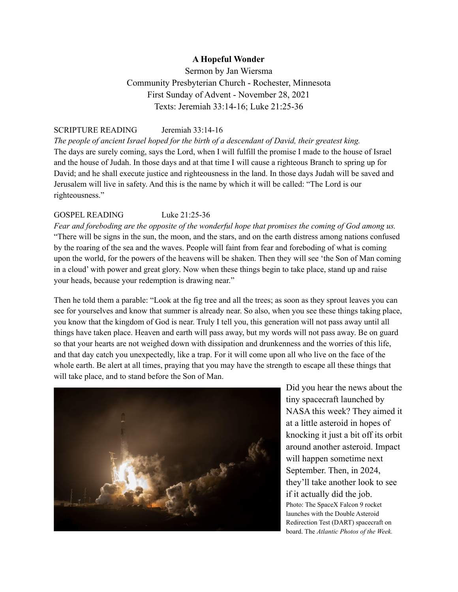## **A Hopeful Wonder**

Sermon by Jan Wiersma Community Presbyterian Church - Rochester, Minnesota First Sunday of Advent - November 28, 2021 Texts: Jeremiah 33:14-16; Luke 21:25-36

## SCRIPTURE READING Jeremiah 33:14-16

*The people of ancient Israel hoped for the birth of a descendant of David, their greatest king.* The days are surely coming, says the Lord, when I will fulfill the promise I made to the house of Israel and the house of Judah. In those days and at that time I will cause a righteous Branch to spring up for David; and he shall execute justice and righteousness in the land. In those days Judah will be saved and Jerusalem will live in safety. And this is the name by which it will be called: "The Lord is our righteousness."

## GOSPEL READING Luke 21:25-36

Fear and foreboding are the opposite of the wonderful hope that promises the coming of God among us. "There will be signs in the sun, the moon, and the stars, and on the earth distress among nations confused by the roaring of the sea and the waves. People will faint from fear and foreboding of what is coming upon the world, for the powers of the heavens will be shaken. Then they will see 'the Son of Man coming in a cloud' with power and great glory. Now when these things begin to take place, stand up and raise your heads, because your redemption is drawing near."

Then he told them a parable: "Look at the fig tree and all the trees; as soon as they sprout leaves you can see for yourselves and know that summer is already near. So also, when you see these things taking place, you know that the kingdom of God is near. Truly I tell you, this generation will not pass away until all things have taken place. Heaven and earth will pass away, but my words will not pass away. Be on guard so that your hearts are not weighed down with dissipation and drunkenness and the worries of this life, and that day catch you unexpectedly, like a trap. For it will come upon all who live on the face of the whole earth. Be alert at all times, praying that you may have the strength to escape all these things that will take place, and to stand before the Son of Man.



Did you hear the news about the tiny spacecraft launched by NASA this week? They aimed it at a little asteroid in hopes of knocking it just a bit off its orbit around another asteroid. Impact will happen sometime next September. Then, in 2024, they'll take another look to see if it actually did the job. Photo: The SpaceX Falcon 9 rocket launches with the Double Asteroid Redirection Test (DART) spacecraft on board. The *Atlantic Photos of the Week.*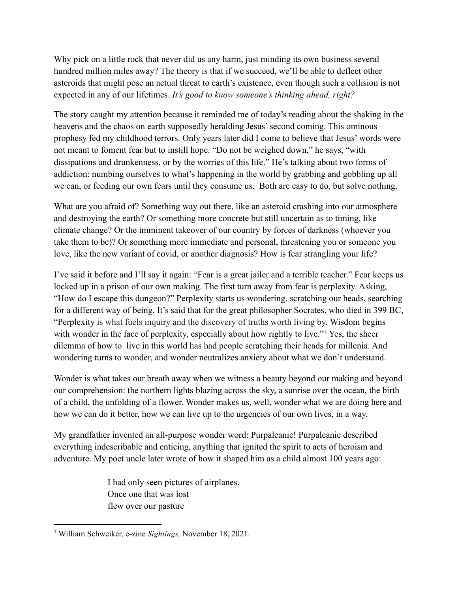Why pick on a little rock that never did us any harm, just minding its own business several hundred million miles away? The theory is that if we succeed, we'll be able to deflect other asteroids that might pose an actual threat to earth's existence, even though such a collision is not expected in any of our lifetimes. *It's good to know someone's thinking ahead, right?*

The story caught my attention because it reminded me of today's reading about the shaking in the heavens and the chaos on earth supposedly heralding Jesus' second coming. This ominous prophesy fed my childhood terrors. Only years later did I come to believe that Jesus' words were not meant to foment fear but to instill hope. "Do not be weighed down," he says, "with dissipations and drunkenness, or by the worries of this life." He's talking about two forms of addiction: numbing ourselves to what's happening in the world by grabbing and gobbling up all we can, or feeding our own fears until they consume us. Both are easy to do, but solve nothing.

What are you afraid of? Something way out there, like an asteroid crashing into our atmosphere and destroying the earth? Or something more concrete but still uncertain as to timing, like climate change? Or the imminent takeover of our country by forces of darkness (whoever you take them to be)? Or something more immediate and personal, threatening you or someone you love, like the new variant of covid, or another diagnosis? How is fear strangling your life?

I've said it before and I'll say it again: "Fear is a great jailer and a terrible teacher." Fear keeps us locked up in a prison of our own making. The first turn away from fear is perplexity. Asking, "How do I escape this dungeon?" Perplexity starts us wondering, scratching our heads, searching for a different way of being. It's said that for the great philosopher Socrates, who died in 399 BC, "Perplexity is what fuels inquiry and the discovery of truths worth living by. Wisdom begins with wonder in the face of perplexity, especially about how rightly to live."<sup>1</sup> Yes, the sheer dilemma of how to live in this world has had people scratching their heads for millenia. And wondering turns to wonder, and wonder neutralizes anxiety about what we don't understand.

Wonder is what takes our breath away when we witness a beauty beyond our making and beyond our comprehension: the northern lights blazing across the sky, a sunrise over the ocean, the birth of a child, the unfolding of a flower. Wonder makes us, well, wonder what we are doing here and how we can do it better, how we can live up to the urgencies of our own lives, in a way.

My grandfather invented an all-purpose wonder word: Purpaleanie! Purpaleanie described everything indescribable and enticing, anything that ignited the spirit to acts of heroism and adventure. My poet uncle later wrote of how it shaped him as a child almost 100 years ago:

> I had only seen pictures of airplanes. Once one that was lost flew over our pasture

<sup>1</sup> William Schweiker, e-zine *Sightings,* November 18, 2021.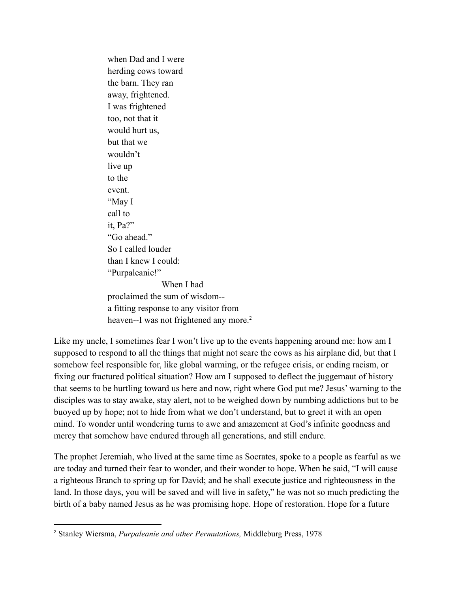when Dad and I were herding cows toward the barn. They ran away, frightened. I was frightened too, not that it would hurt us, but that we wouldn't live up to the event. "May I call to it, Pa?" "Go ahead" So I called louder than I knew I could: "Purpaleanie!" When I had proclaimed the sum of wisdom- a fitting response to any visitor from heaven--I was not frightened any more.<sup>2</sup>

Like my uncle, I sometimes fear I won't live up to the events happening around me: how am I supposed to respond to all the things that might not scare the cows as his airplane did, but that I somehow feel responsible for, like global warming, or the refugee crisis, or ending racism, or fixing our fractured political situation? How am I supposed to deflect the juggernaut of history that seems to be hurtling toward us here and now, right where God put me? Jesus' warning to the disciples was to stay awake, stay alert, not to be weighed down by numbing addictions but to be buoyed up by hope; not to hide from what we don't understand, but to greet it with an open mind. To wonder until wondering turns to awe and amazement at God's infinite goodness and mercy that somehow have endured through all generations, and still endure.

The prophet Jeremiah, who lived at the same time as Socrates, spoke to a people as fearful as we are today and turned their fear to wonder, and their wonder to hope. When he said, "I will cause a righteous Branch to spring up for David; and he shall execute justice and righteousness in the land. In those days, you will be saved and will live in safety," he was not so much predicting the birth of a baby named Jesus as he was promising hope. Hope of restoration. Hope for a future

<sup>2</sup> Stanley Wiersma, *Purpaleanie and other Permutations,* Middleburg Press, 1978